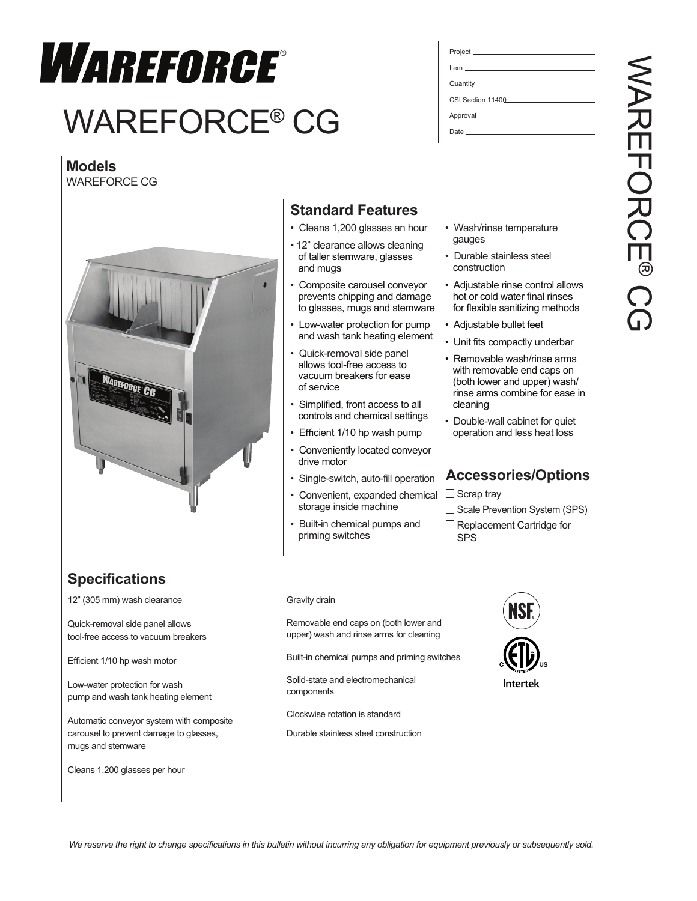

# WAREFORCE® CG

## **Models**

WAREFORCE CG



## **Standard Features**

- Cleans 1,200 glasses an hour
- 12" clearance allows cleaning of taller stemware, glasses and mugs
- Composite carousel conveyor prevents chipping and damage to glasses, mugs and stemware
- Low-water protection for pump and wash tank heating element
- Quick-removal side panel allows tool-free access to vacuum breakers for ease of service
- Simplified, front access to all controls and chemical settings
- Efficient 1/10 hp wash pump
- Conveniently located conveyor drive motor
- Single-switch, auto-fill operation
- Convenient, expanded chemical storage inside machine
- Built-in chemical pumps and priming switches
- Wash/rinse temperature gauges
- Durable stainless steel construction
- Adiustable rinse control allows hot or cold water final rinses for flexible sanitizing methods
- Adjustable bullet feet
- Unit fits compactly underbar
- Removable wash/rinse arms with removable end caps on (both lower and upper) wash/ rinse arms combine for ease in cleaning
- Double-wall cabinet for quiet operation and less heat loss

## **Accessories/Options**

 $\Box$  Scrap tray

#### $\Box$  Scale Prevention System (SPS)

 $\Box$  Replacement Cartridge for SPS

# **Specifications**

12" (305 mm) wash clearance

Quick-removal side panel allows tool-free access to vacuum breakers

Efficient 1/10 hp wash motor

Low-water protection for wash pump and wash tank heating element

Automatic conveyor system with composite carousel to prevent damage to glasses, mugs and stemware

Cleans 1,200 glasses per hour

#### Gravity drain

Removable end caps on (both lower and upper) wash and rinse arms for cleaning

Built-in chemical pumps and priming switches

Solid-state and electromechanical components

Clockwise rotation is standard

Durable stainless steel construction



Item Quantity

Project

CSI Section 11400

Approval \_\_\_ Date